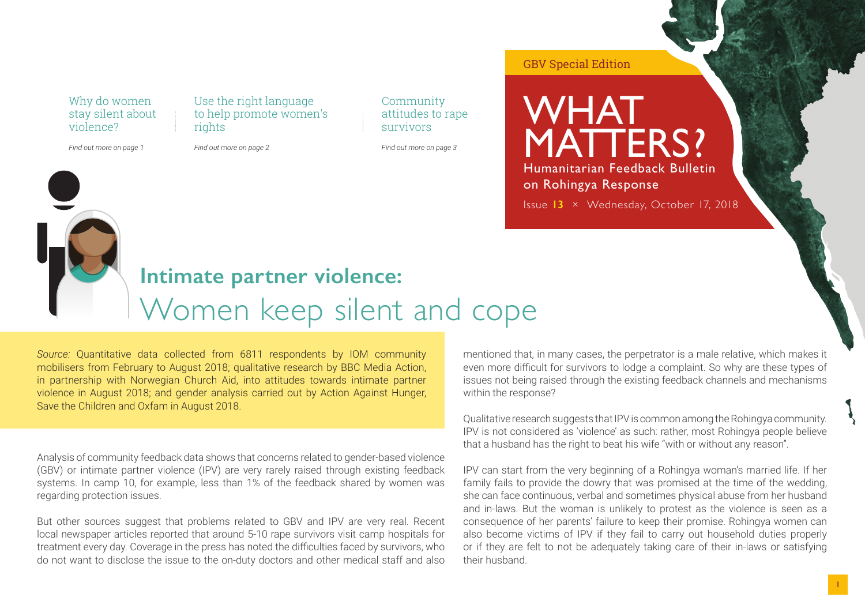Why do women stay silent about violence?

*Find out more on page 1*

Use the right language to help promote women's rights

*Find out more on page 2*

Community attitudes to rape survivors

*Find out more on page 3*

WHAT MATTERS? Humanitarian Feedback Bulletin on Rohingya Response

GBV Special Edition

Issue **13** × Wednesday, October 17, 2018

## **Intimate partner violence:** Women keep silent and cope

*Source:* Quantitative data collected from 6811 respondents by IOM community mobilisers from February to August 2018; qualitative research by BBC Media Action, in partnership with Norwegian Church Aid, into attitudes towards intimate partner violence in August 2018; and gender analysis carried out by Action Against Hunger, Save the Children and Oxfam in August 2018.

Analysis of community feedback data shows that concerns related to gender-based violence (GBV) or intimate partner violence (IPV) are very rarely raised through existing feedback systems. In camp 10, for example, less than 1% of the feedback shared by women was regarding protection issues.

But other sources suggest that problems related to GBV and IPV are very real. Recent local newspaper articles reported that around 5-10 rape survivors visit camp hospitals for treatment every day. Coverage in the press has noted the difficulties faced by survivors, who do not want to disclose the issue to the on-duty doctors and other medical staff and also

mentioned that, in many cases, the perpetrator is a male relative, which makes it even more difficult for survivors to lodge a complaint. So why are these types of issues not being raised through the existing feedback channels and mechanisms within the response?

Qualitative research suggests that IPV is common among the Rohingya community. IPV is not considered as 'violence' as such: rather, most Rohingya people believe that a husband has the right to beat his wife "with or without any reason".

IPV can start from the very beginning of a Rohingya woman's married life. If her family fails to provide the dowry that was promised at the time of the wedding, she can face continuous, verbal and sometimes physical abuse from her husband and in-laws. But the woman is unlikely to protest as the violence is seen as a consequence of her parents' failure to keep their promise. Rohingya women can also become victims of IPV if they fail to carry out household duties properly or if they are felt to not be adequately taking care of their in-laws or satisfying their husband.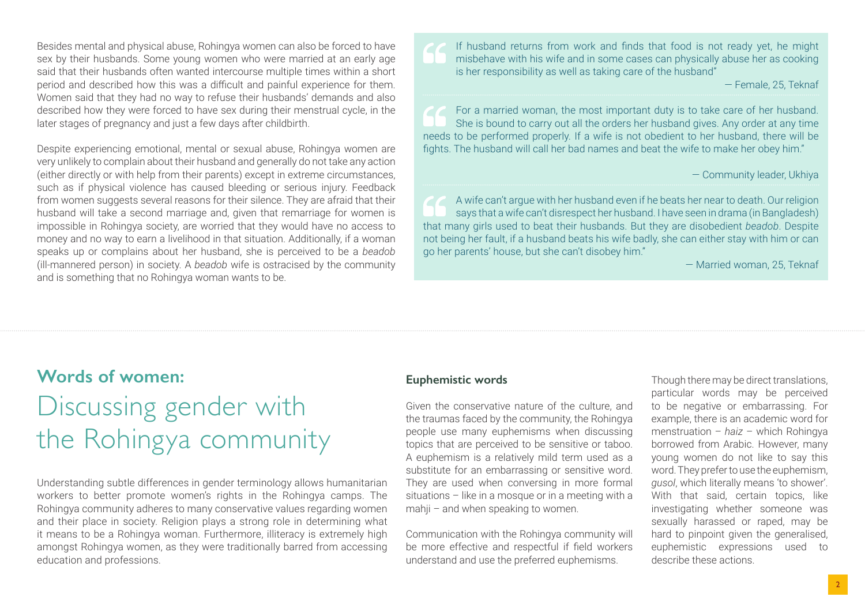Besides mental and physical abuse, Rohingya women can also be forced to have sex by their husbands. Some young women who were married at an early age said that their husbands often wanted intercourse multiple times within a short period and described how this was a difficult and painful experience for them. Women said that they had no way to refuse their husbands' demands and also described how they were forced to have sex during their menstrual cycle, in the later stages of pregnancy and just a few days after childbirth.

Despite experiencing emotional, mental or sexual abuse, Rohingya women are very unlikely to complain about their husband and generally do not take any action (either directly or with help from their parents) except in extreme circumstances, such as if physical violence has caused bleeding or serious injury. Feedback from women suggests several reasons for their silence. They are afraid that their husband will take a second marriage and, given that remarriage for women is impossible in Rohingya society, are worried that they would have no access to money and no way to earn a livelihood in that situation. Additionally, if a woman speaks up or complains about her husband, she is perceived to be a *beadob* (ill-mannered person) in society. A *beadob* wife is ostracised by the community and is something that no Rohingya woman wants to be.

If husband returns from work and finds that food is not ready yet, he might misbehave with his wife and in some cases can physically abuse her as cooking is her responsibility as well as taking care of the husband"

— Female, 25, Teknaf

For a married woman, the most important duty is to take care of her husband. She is bound to carry out all the orders her husband gives. Any order at any time needs to be performed properly. If a wife is not obedient to her husband, there will be fights. The husband will call her bad names and beat the wife to make her obey him."

— Community leader, Ukhiya

A wife can't argue with her husband even if he beats her near to death. Our religion says that a wife can't disrespect her husband. I have seen in drama (in Bangladesh) that many girls used to beat their husbands. But they are disobedient *beadob*. Despite not being her fault, if a husband beats his wife badly, she can either stay with him or can go her parents' house, but she can't disobey him."

— Married woman, 25, Teknaf

## **Words of women:** Discussing gender with

# the Rohingya community

Understanding subtle differences in gender terminology allows humanitarian workers to better promote women's rights in the Rohingya camps. The Rohingya community adheres to many conservative values regarding women and their place in society. Religion plays a strong role in determining what it means to be a Rohingya woman. Furthermore, illiteracy is extremely high amongst Rohingya women, as they were traditionally barred from accessing education and professions.

### **Euphemistic words**

Given the conservative nature of the culture, and the traumas faced by the community, the Rohingya people use many euphemisms when discussing topics that are perceived to be sensitive or taboo. A euphemism is a relatively mild term used as a substitute for an embarrassing or sensitive word. They are used when conversing in more formal situations – like in a mosque or in a meeting with a mahji – and when speaking to women.

Communication with the Rohingya community will be more effective and respectful if field workers understand and use the preferred euphemisms.

Though there may be direct translations, particular words may be perceived to be negative or embarrassing. For example, there is an academic word for menstruation – *haiz* – which Rohingya borrowed from Arabic. However, many young women do not like to say this word. They prefer to use the euphemism, *gusol*, which literally means 'to shower'. With that said, certain topics, like investigating whether someone was sexually harassed or raped, may be hard to pinpoint given the generalised, euphemistic expressions used to describe these actions.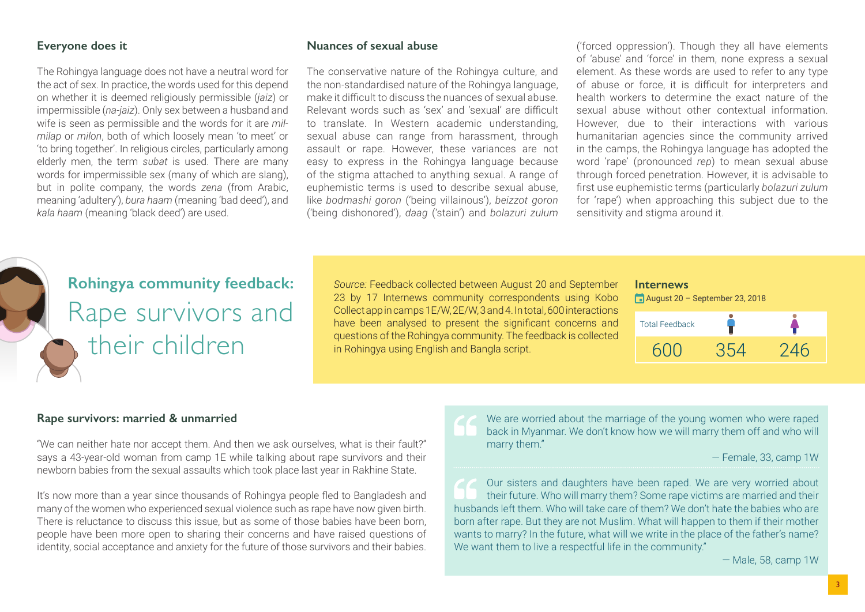#### **Everyone does it**

The Rohingya language does not have a neutral word for the act of sex. In practice, the words used for this depend on whether it is deemed religiously permissible (*jaiz*) or impermissible (*na-jaiz*). Only sex between a husband and wife is seen as permissible and the words for it are *milmilap* or *milon*, both of which loosely mean 'to meet' or 'to bring together'. In religious circles, particularly among elderly men, the term *subat* is used. There are many words for impermissible sex (many of which are slang), but in polite company, the words *zena* (from Arabic, meaning 'adultery'), *bura haam* (meaning 'bad deed'), and *kala haam* (meaning 'black deed') are used.

#### **Nuances of sexual abuse**

The conservative nature of the Rohingya culture, and the non-standardised nature of the Rohingya language, make it difficult to discuss the nuances of sexual abuse. Relevant words such as 'sex' and 'sexual' are difficult to translate. In Western academic understanding, sexual abuse can range from harassment, through assault or rape. However, these variances are not easy to express in the Rohingya language because of the stigma attached to anything sexual. A range of euphemistic terms is used to describe sexual abuse, like *bodmashi goron* ('being villainous'), *beizzot goron* ('being dishonored'), *daag* ('stain') and *bolazuri zulum*

('forced oppression'). Though they all have elements of 'abuse' and 'force' in them, none express a sexual element. As these words are used to refer to any type of abuse or force, it is difficult for interpreters and health workers to determine the exact nature of the sexual abuse without other contextual information. However, due to their interactions with various humanitarian agencies since the community arrived in the camps, the Rohingya language has adopted the word 'rape' (pronounced *rep*) to mean sexual abuse through forced penetration. However, it is advisable to first use euphemistic terms (particularly *bolazuri zulum* for 'rape') when approaching this subject due to the sensitivity and stigma around it.

## **Rohingya community feedback:** Rape survivors and their children

*Source:* Feedback collected between August 20 and September 23 by 17 Internews community correspondents using Kobo Collect app in camps 1E/W, 2E/W, 3 and 4. In total, 600 interactions have been analysed to present the significant concerns and questions of the Rohingya community. The feedback is collected in Rohingya using English and Bangla script.

#### **Internews** August 20 – September 23, 2018

| <b>Total Feedback</b> |     |     |
|-----------------------|-----|-----|
| 600                   | 354 | 246 |

#### **Rape survivors: married & unmarried**

"We can neither hate nor accept them. And then we ask ourselves, what is their fault?" says a 43-year-old woman from camp 1E while talking about rape survivors and their newborn babies from the sexual assaults which took place last year in Rakhine State.

It's now more than a year since thousands of Rohingya people fled to Bangladesh and many of the women who experienced sexual violence such as rape have now given birth. There is reluctance to discuss this issue, but as some of those babies have been born, people have been more open to sharing their concerns and have raised questions of identity, social acceptance and anxiety for the future of those survivors and their babies. We are worried about the marriage of the young women who were raped back in Myanmar. We don't know how we will marry them off and who will marry them."

— Female, 33, camp 1W

Our sisters and daughters have been raped. We are very worried about their future. Who will marry them? Some rape victims are married and their husbands left them. Who will take care of them? We don't hate the babies who are born after rape. But they are not Muslim. What will happen to them if their mother wants to marry? In the future, what will we write in the place of the father's name? We want them to live a respectful life in the community."

— Male, 58, camp 1W